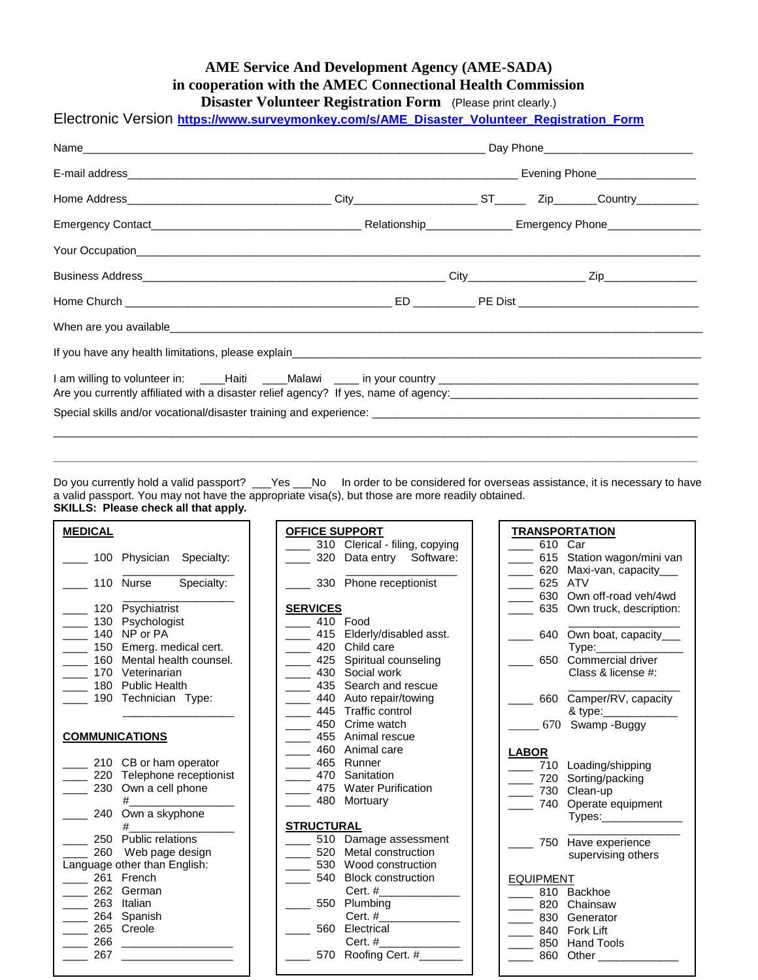## **AME Service And Development Agency (AME-SADA) in cooperation with the AMEC Connectional Health Commission**

**Disaster Volunteer Registration Form** (Please print clearly.)

## Electronic Version **[https://www.surveymonkey.com/s/AME\\_Disaster\\_Volunteer\\_Registration\\_Form](https://www.surveymonkey.com/s/AME_Disaster_Volunteer_Registration_Form)**

| When are you available that the contract of the contract of the contract of the contract of the contract of the contract of the contract of the contract of the contract of the contract of the contract of the contract of th |  |  |  |
|--------------------------------------------------------------------------------------------------------------------------------------------------------------------------------------------------------------------------------|--|--|--|
|                                                                                                                                                                                                                                |  |  |  |
|                                                                                                                                                                                                                                |  |  |  |
|                                                                                                                                                                                                                                |  |  |  |

Do you currently hold a valid passport? \_\_\_Yes \_\_\_No In order to be considered for overseas assistance, it is necessary to have a valid passport. You may not have the appropriate visa(s), but those are more readily obtained. **SKILLS: Please check all that apply.**

**\_\_\_\_\_\_\_\_\_\_\_\_\_\_\_\_\_\_\_\_\_\_\_\_\_\_\_\_\_\_\_\_\_\_\_\_\_\_\_\_\_\_\_\_\_\_\_\_\_\_\_\_\_\_\_\_\_\_\_\_\_\_\_\_\_\_\_\_\_\_\_\_\_\_\_\_\_\_\_\_\_\_\_\_\_\_\_\_\_\_\_\_\_\_\_\_\_\_\_\_\_\_\_\_**

| <b>MEDICAL</b>        |                                            |            | <u>ር</u> |
|-----------------------|--------------------------------------------|------------|----------|
|                       | 100 Physician Specialty:                   |            |          |
|                       | 110 Nurse                                  | Specialty: |          |
|                       | 120 Psychiatrist                           |            | S        |
|                       | 130 Psychologist                           |            |          |
| 140                   | NP or PA                                   |            |          |
|                       | 150 Emerg. medical cert.                   |            |          |
|                       | 160 Mental health counsel.                 |            |          |
|                       | 170 Veterinarian                           |            |          |
|                       | 180 Public Health                          |            |          |
|                       | 190 Technician Type:                       |            |          |
|                       |                                            |            |          |
|                       |                                            |            |          |
| <b>COMMUNICATIONS</b> |                                            |            |          |
|                       |                                            |            |          |
|                       | 210 CB or ham operator                     |            |          |
|                       | 220 Telephone receptionist                 |            |          |
|                       | 230 Own a cell phone<br>#                  |            |          |
| 240                   | Own a skyphone                             |            |          |
|                       |                                            |            | S        |
|                       |                                            |            |          |
|                       | 250 Public relations                       |            |          |
|                       | 260 Web page design                        |            |          |
|                       |                                            |            |          |
|                       | Language other than English:<br>261 French |            |          |
|                       | 262 German                                 |            |          |
|                       | 263 Italian                                |            |          |
| ___ 264 Spanish       |                                            |            |          |
| 265 Creole            |                                            |            |          |
| 266                   |                                            |            |          |

٦

г

| OFFICE SUPPORT    |                                |
|-------------------|--------------------------------|
|                   | 310 Clerical - filing, copying |
| 320               | Data entry Software:           |
|                   |                                |
| 330               | Phone receptionist             |
|                   |                                |
| <b>SERVICES</b>   |                                |
|                   | 410 Food                       |
| 415               | Elderly/disabled asst.         |
| 420               | Child care                     |
| 425               | Spiritual counseling           |
| 430               | Social work                    |
| 435               | Search and rescue              |
| 440               | Auto repair/towing             |
| 445               | <b>Traffic control</b>         |
| 450               | Crime watch                    |
| 455               | Animal rescue                  |
| 460               | Animal care                    |
| 465               | Runner                         |
| 470               | Sanitation                     |
| 475               | <b>Water Purification</b>      |
| 480               | Mortuary                       |
|                   |                                |
| <b>STRUCTURAL</b> |                                |
| 510               | Damage assessment              |
| 520               | Metal construction             |
| 530               | Wood construction              |
| 540               | <b>Block construction</b>      |
|                   | Cert. $#$                      |
| 550               | Plumbing                       |
|                   | Cert. #                        |
| 560               | Electrical                     |
|                   | Cert. #                        |
| 570 -             | Roofing Cert. #__              |
|                   |                                |

|                          |            | <b>TRANSPORTATION</b>                    |
|--------------------------|------------|------------------------------------------|
|                          | 610        | Car                                      |
|                          | 615        | Station wagon/mini van                   |
| $\sim$                   | 620        | Maxi-van, capacity___                    |
| $\sim$                   | 625        | <b>ATV</b>                               |
|                          | 630        | Own off-road veh/4wd                     |
|                          | 635        | Own truck, description:                  |
|                          | 640        | Own boat, capacity<br>Type:__________    |
|                          | 650        | Commercial driver                        |
|                          |            | Class & license #:                       |
|                          | 660        | Camper/RV, capacity<br>& type:__________ |
|                          |            | 670 Swamp-Buggy                          |
| <b>LABOR</b>             |            |                                          |
|                          | 710        | Loading/shipping                         |
|                          | 720        | Sorting/packing                          |
| $\overline{\phantom{a}}$ | 730        | Clean-up                                 |
|                          | 740        | Operate equipment                        |
|                          |            | Types:____________                       |
|                          | 750        | Have experience                          |
|                          |            | supervising others                       |
| <b>EQUIPMENT</b>         |            |                                          |
|                          | 810        | Backhoe                                  |
|                          | $\sim$ 820 | Chainsaw                                 |
| $\overline{\phantom{a}}$ | 830        | Generator                                |
| $\sim$ 100 $\mu$         | 840        | <b>Fork Lift</b>                         |
|                          | 850        | <b>Hand Tools</b>                        |
|                          | 860        | Other                                    |